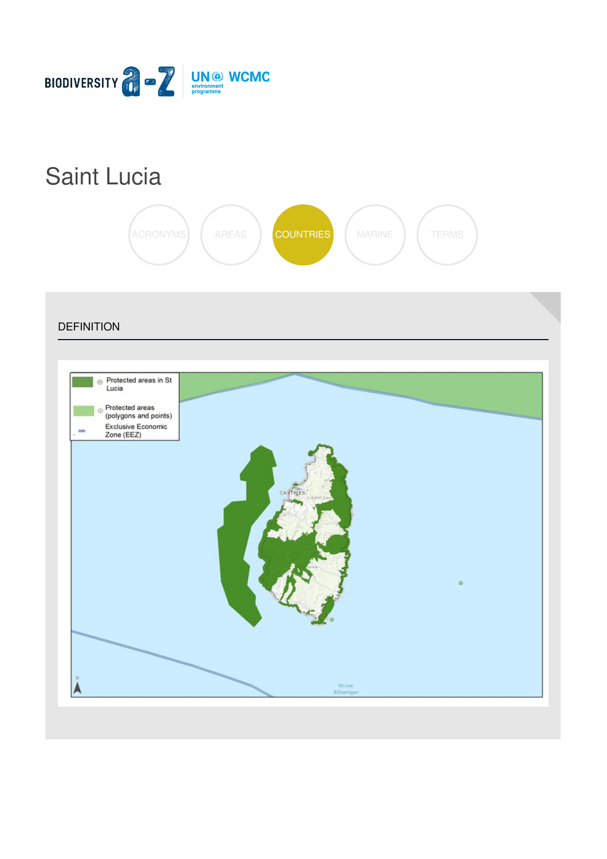

# Saint [Lucia](https://biodiversitya-z.org/content/saint-lucia)



**DEFINITION** Protected areas in St  $\oplus$ Lucia Protected areas (polygons and points) Exclusive Economic<br>Zone (EEZ) Océan<br>Atlantiqu Δ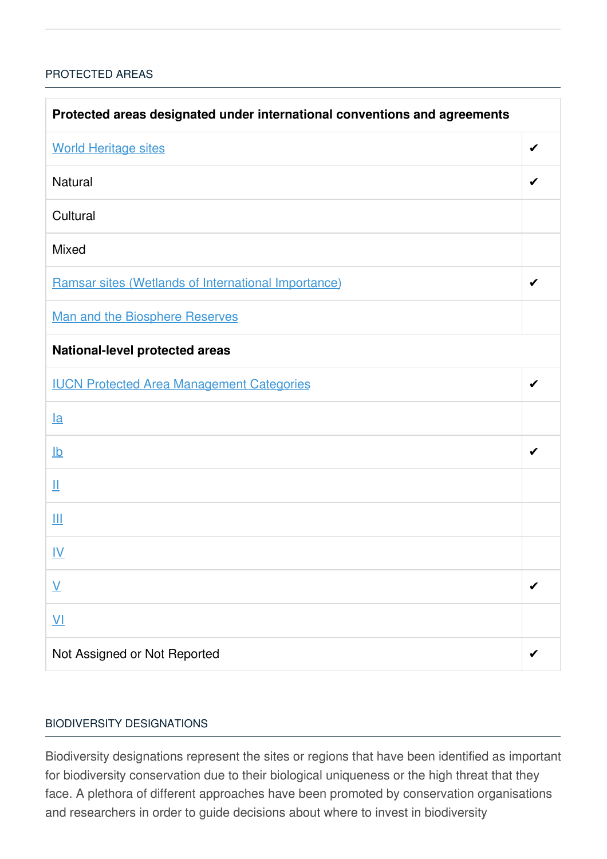### [PROTECTED](javascript:void(0)) AREAS

| Protected areas designated under international conventions and agreements |   |  |
|---------------------------------------------------------------------------|---|--|
| <b>World Heritage sites</b>                                               | ✔ |  |
| <b>Natural</b>                                                            | ✔ |  |
| Cultural                                                                  |   |  |
| <b>Mixed</b>                                                              |   |  |
| Ramsar sites (Wetlands of International Importance)                       | ✔ |  |
| Man and the Biosphere Reserves                                            |   |  |
| <b>National-level protected areas</b>                                     |   |  |
| <b>IUCN Protected Area Management Categories</b>                          | ✔ |  |
| $l$ a                                                                     |   |  |
| $\underline{\mathsf{lb}}$                                                 | ✔ |  |
| Щ                                                                         |   |  |
| Ш                                                                         |   |  |
| <u>IV</u>                                                                 |   |  |
| $\underline{\mathsf{V}}$                                                  |   |  |
| $\underline{\mathsf{V}}$                                                  |   |  |
| Not Assigned or Not Reported                                              |   |  |

#### BIODIVERSITY [DESIGNATIONS](javascript:void(0))

Biodiversity designations represent the sites or regions that have been identified as important for biodiversity conservation due to their biological uniqueness or the high threat that they face. A plethora of different approaches have been promoted by conservation organisations and researchers in order to guide decisions about where to invest in biodiversity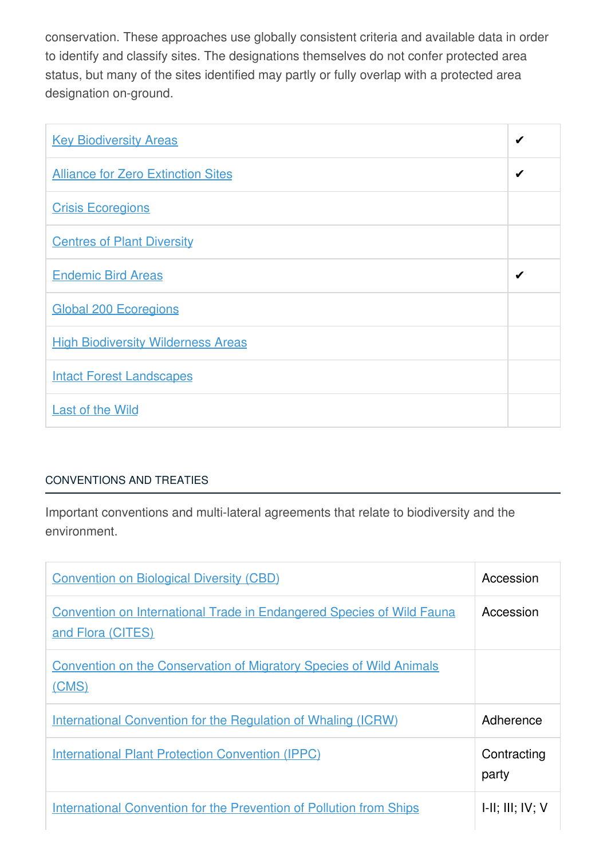conservation. These approaches use globally consistent criteria and available data in order to identify and classify sites. The designations themselves do not confer protected area status, but many of the sites identified may partly or fully overlap with a protected area designation on-ground.

| <b>Key Biodiversity Areas</b>             | ✔ |
|-------------------------------------------|---|
| <b>Alliance for Zero Extinction Sites</b> | ✔ |
| <b>Crisis Ecoregions</b>                  |   |
| <b>Centres of Plant Diversity</b>         |   |
| <b>Endemic Bird Areas</b>                 | ✔ |
| <b>Global 200 Ecoregions</b>              |   |
| <b>High Biodiversity Wilderness Areas</b> |   |
| <b>Intact Forest Landscapes</b>           |   |
| <b>Last of the Wild</b>                   |   |

## [CONVENTIONS](javascript:void(0)) AND TREATIES

Important conventions and multi-lateral agreements that relate to biodiversity and the environment.

| <b>Convention on Biological Diversity (CBD)</b>                                                   | Accession            |
|---------------------------------------------------------------------------------------------------|----------------------|
| <b>Convention on International Trade in Endangered Species of Wild Fauna</b><br>and Flora (CITES) | Accession            |
| <b>Convention on the Conservation of Migratory Species of Wild Animals</b><br>(CMS)               |                      |
| <u>International Convention for the Regulation of Whaling (ICRW)</u>                              | Adherence            |
| <b>International Plant Protection Convention (IPPC)</b>                                           | Contracting<br>party |
| <b>International Convention for the Prevention of Pollution from Ships</b>                        | H, III, IV, V        |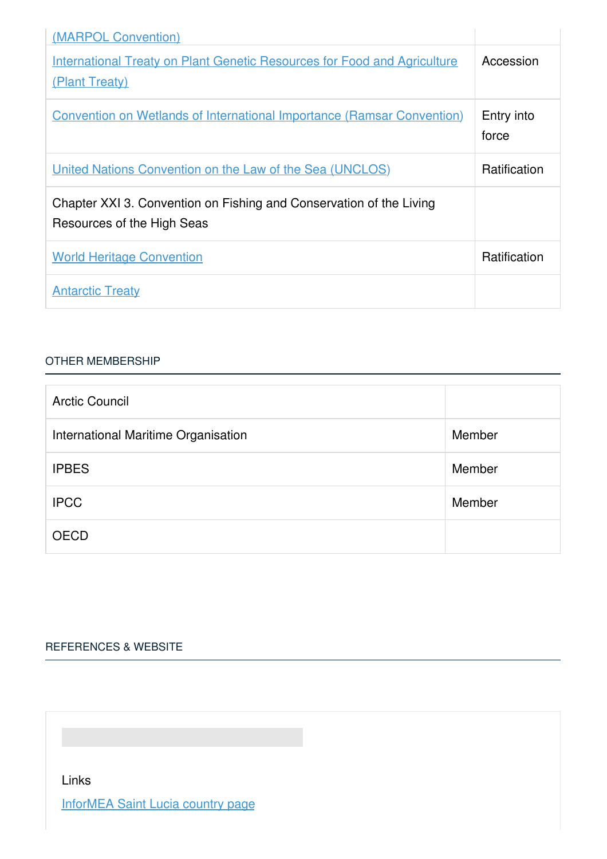| (MARPOL Convention)                                                                               |                     |
|---------------------------------------------------------------------------------------------------|---------------------|
| <b>International Treaty on Plant Genetic Resources for Food and Agriculture</b><br>(Plant Treaty) | Accession           |
| <b>Convention on Wetlands of International Importance (Ramsar Convention)</b>                     | Entry into<br>force |
| <u><b>United Nations Convention on the Law of the Sea (UNCLOS)</b></u>                            | <b>Ratification</b> |
| Chapter XXI 3. Convention on Fishing and Conservation of the Living<br>Resources of the High Seas |                     |
| <b>World Heritage Convention</b>                                                                  | Ratification        |
| <b>Antarctic Treaty</b>                                                                           |                     |

#### OTHER [MEMBERSHIP](javascript:void(0))

| <b>Arctic Council</b>               |        |
|-------------------------------------|--------|
| International Maritime Organisation | Member |
| <b>IPBES</b>                        | Member |
| <b>IPCC</b>                         | Member |
| <b>OECD</b>                         |        |

# [REFERENCES](javascript:void(0)) & WEBSITE

Links

[InforMEA](https://www.informea.org/countries/LC) Saint Lucia country page